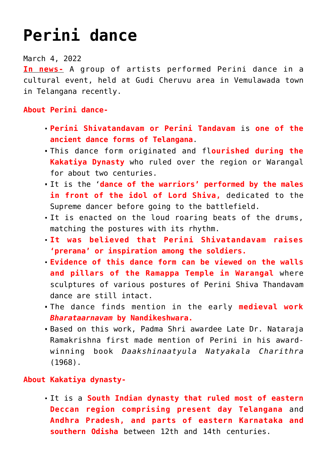## **[Perini dance](https://journalsofindia.com/perini-dance/)**

March 4, 2022

**In news-** A group of artists performed Perini dance in a cultural event, held at Gudi Cheruvu area in Vemulawada town in Telangana recently.

## **About Perini dance-**

- **Perini Shivatandavam or Perini Tandavam** is **one of the ancient dance forms of Telangana**.
- This dance form originated and fl**ourished during the Kakatiya Dynasty** who ruled over the region or Warangal for about two centuries.
- It is the '**dance of the warriors' performed by the males in front of the idol of Lord Shiva,** dedicated to the Supreme dancer before going to the battlefield.
- It is enacted on the loud roaring beats of the drums, matching the postures with its rhythm.
- **It was believed that Perini Shivatandavam raises 'prerana' or inspiration among the soldiers.**
- **Evidence of this dance form can be viewed on the walls and pillars of the Ramappa Temple in Warangal** where sculptures of various postures of Perini Shiva Thandavam dance are still intact.
- The dance finds mention in the early **medieval work** *Bharataarnavam* **by Nandikeshwara.**
- Based on this work, Padma Shri awardee Late Dr. Nataraja Ramakrishna first made mention of Perini in his awardwinning book *Daakshinaatyula Natyakala Charithra* (1968).

## **About Kakatiya dynasty-**

It is a **South Indian dynasty that ruled most of eastern Deccan region comprising present day Telangana** and **Andhra Pradesh, and parts of eastern Karnataka and southern Odisha** between 12th and 14th centuries.